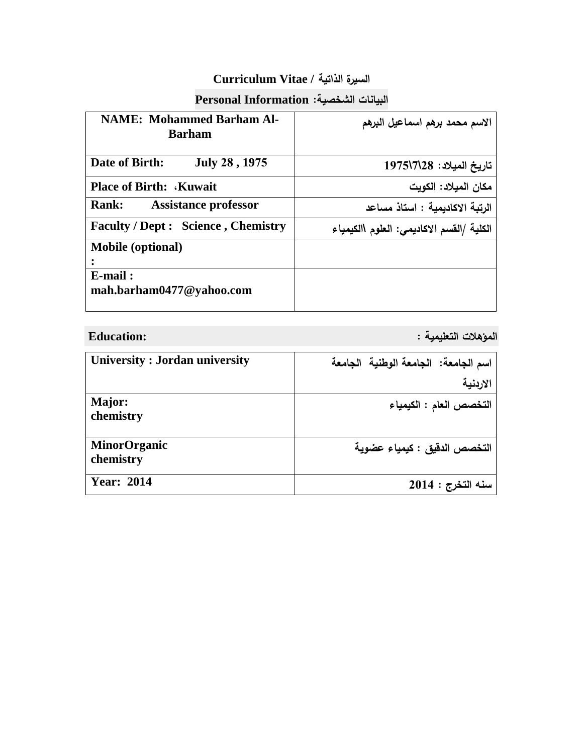## **السيرة الذاتية / Vitae Curriculum**

## **البيانات الشخصية: Information Personal**

| <b>NAME: Mohammed Barham Al-</b><br><b>Barham</b> | الاسم محمد برهم اسماعيل البرهم            |
|---------------------------------------------------|-------------------------------------------|
| July 28, 1975<br>Date of Birth:                   | تاريخ الميلاد: 28\1975\197                |
| <b>Place of Birth: Kuwait</b>                     | مكان الميلاد: الكويت                      |
| <b>Rank:</b><br><b>Assistance professor</b>       | الرتبة الاكاديمية : استاذ مساعد           |
| <b>Faculty / Dept : Science, Chemistry</b>        | الكلية /القسم الاكاديمي: العلوم االكيمياء |
| <b>Mobile</b> (optional)                          |                                           |
| $E$ -mail:                                        |                                           |
| mah.barham0477@yahoo.com                          |                                           |

**المؤهالت التعليمية : :Education**

| University: Jordan university    | اسم الجامعة: الجامعة الوطنية الجامعة |
|----------------------------------|--------------------------------------|
|                                  | الاربنية                             |
| Major:<br>chemistry              | التخصص العام : الكيمياء              |
| <b>MinorOrganic</b><br>chemistry | التخصص الدقيق : كيمياء عضوية         |
| <b>Year: 2014</b>                | سنه التخرج : 2014                    |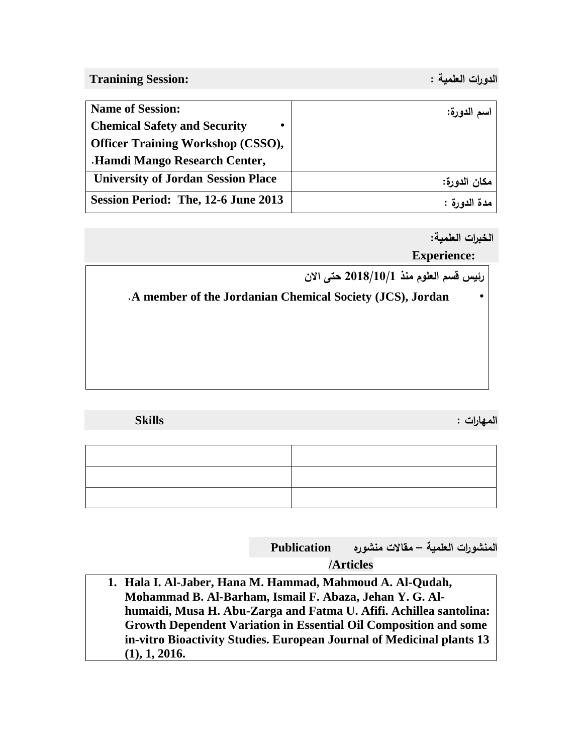**الدورات العلمية : :Session Tranining**

| <b>Name of Session:</b>                   | اسم الدورة:  |
|-------------------------------------------|--------------|
| <b>Chemical Safety and Security</b>       |              |
| <b>Officer Training Workshop (CSSO),</b>  |              |
| <b>Hamdi Mango Research Center,</b>       |              |
| <b>University of Jordan Session Place</b> | مكان الدورة: |
| Session Period: The, 12-6 June 2013       | مدة الدورة : |

**الخبرات العلمية:** 

**Experience:** 



| <b>Skills</b> | المهارات : |
|---------------|------------|
|               |            |
|               |            |
|               |            |
|               |            |

**المنشورات العلمية – مقاالت منشوره Publication** 

**/Articles** 

**1. Hala I. Al-Jaber, Hana M. Hammad, Mahmoud A. Al-Qudah, Mohammad B. Al-Barham, Ismail F. Abaza, Jehan Y. G. Alhumaidi, Musa H. Abu-Zarga and Fatma U. Afifi. Achillea santolina: Growth Dependent Variation in Essential Oil Composition and some in-vitro Bioactivity Studies. European Journal of Medicinal plants 13 (1), 1, 2016.**